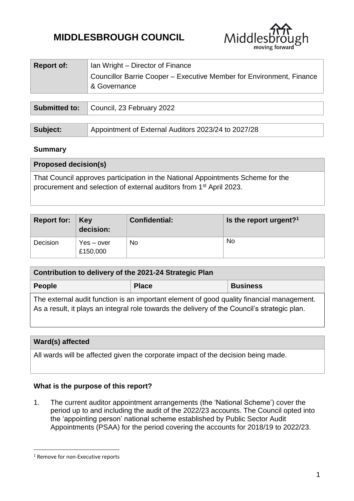# **MIDDLESBROUGH COUNCIL**



| <b>Report of:</b> | Ian Wright – Director of Finance                                                     |  |  |  |
|-------------------|--------------------------------------------------------------------------------------|--|--|--|
|                   | Councillor Barrie Cooper - Executive Member for Environment, Finance<br>& Governance |  |  |  |
|                   |                                                                                      |  |  |  |

|                 | <b>Submitted to:</b> Council, 23 February 2022      |  |  |
|-----------------|-----------------------------------------------------|--|--|
|                 |                                                     |  |  |
| <b>Subject:</b> | Appointment of External Auditors 2023/24 to 2027/28 |  |  |

#### **Summary**

| <b>Proposed decision(s)</b>                                                                                                                                        |  |
|--------------------------------------------------------------------------------------------------------------------------------------------------------------------|--|
| That Council approves participation in the National Appointments Scheme for the<br>procurement and selection of external auditors from 1 <sup>st</sup> April 2023. |  |

| <b>Report for: Key</b> | decision:                | <b>Confidential:</b> | Is the report urgent? <sup>1</sup> |
|------------------------|--------------------------|----------------------|------------------------------------|
| Decision               | $Yes - over$<br>£150,000 | No                   | <b>No</b>                          |

| Contribution to delivery of the 2021-24 Strategic Plan                                                                                                                                    |              |                 |  |  |  |
|-------------------------------------------------------------------------------------------------------------------------------------------------------------------------------------------|--------------|-----------------|--|--|--|
| People                                                                                                                                                                                    | <b>Place</b> | <b>Business</b> |  |  |  |
| The external audit function is an important element of good quality financial management.<br>As a result, it plays an integral role towards the delivery of the Council's strategic plan. |              |                 |  |  |  |

# **Ward(s) affected**

All wards will be affected given the corporate impact of the decision being made.

## **What is the purpose of this report?**

1. The current auditor appointment arrangements (the 'National Scheme') cover the period up to and including the audit of the 2022/23 accounts. The Council opted into the 'appointing person' national scheme established by Public Sector Audit Appointments (PSAA) for the period covering the accounts for 2018/19 to 2022/23.

1

<sup>&</sup>lt;sup>1</sup> Remove for non-Executive reports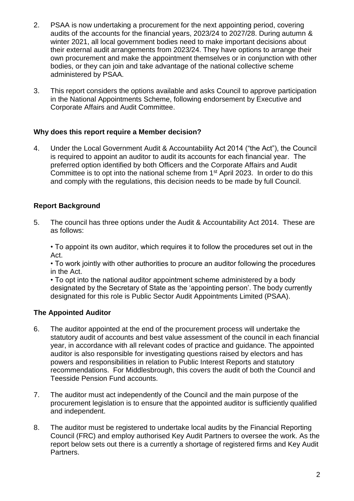- 2. PSAA is now undertaking a procurement for the next appointing period, covering audits of the accounts for the financial years, 2023/24 to 2027/28. During autumn & winter 2021, all local government bodies need to make important decisions about their external audit arrangements from 2023/24. They have options to arrange their own procurement and make the appointment themselves or in conjunction with other bodies, or they can join and take advantage of the national collective scheme administered by PSAA.
- 3. This report considers the options available and asks Council to approve participation in the National Appointments Scheme, following endorsement by Executive and Corporate Affairs and Audit Committee.

## **Why does this report require a Member decision?**

4. Under the Local Government Audit & Accountability Act 2014 ("the Act"), the Council is required to appoint an auditor to audit its accounts for each financial year. The preferred option identified by both Officers and the Corporate Affairs and Audit Committee is to opt into the national scheme from 1<sup>st</sup> April 2023. In order to do this and comply with the regulations, this decision needs to be made by full Council.

## **Report Background**

5. The council has three options under the Audit & Accountability Act 2014. These are as follows:

• To appoint its own auditor, which requires it to follow the procedures set out in the Act.

• To work jointly with other authorities to procure an auditor following the procedures in the Act.

• To opt into the national auditor appointment scheme administered by a body designated by the Secretary of State as the 'appointing person'. The body currently designated for this role is Public Sector Audit Appointments Limited (PSAA).

## **The Appointed Auditor**

- 6. The auditor appointed at the end of the procurement process will undertake the statutory audit of accounts and best value assessment of the council in each financial year, in accordance with all relevant codes of practice and guidance. The appointed auditor is also responsible for investigating questions raised by electors and has powers and responsibilities in relation to Public Interest Reports and statutory recommendations. For Middlesbrough, this covers the audit of both the Council and Teesside Pension Fund accounts.
- 7. The auditor must act independently of the Council and the main purpose of the procurement legislation is to ensure that the appointed auditor is sufficiently qualified and independent.
- 8. The auditor must be registered to undertake local audits by the Financial Reporting Council (FRC) and employ authorised Key Audit Partners to oversee the work. As the report below sets out there is a currently a shortage of registered firms and Key Audit Partners.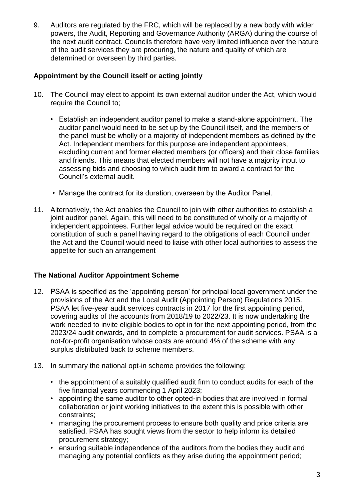9. Auditors are regulated by the FRC, which will be replaced by a new body with wider powers, the Audit, Reporting and Governance Authority (ARGA) during the course of the next audit contract. Councils therefore have very limited influence over the nature of the audit services they are procuring, the nature and quality of which are determined or overseen by third parties.

## **Appointment by the Council itself or acting jointly**

- 10. The Council may elect to appoint its own external auditor under the Act, which would require the Council to;
	- Establish an independent auditor panel to make a stand-alone appointment. The auditor panel would need to be set up by the Council itself, and the members of the panel must be wholly or a majority of independent members as defined by the Act. Independent members for this purpose are independent appointees, excluding current and former elected members (or officers) and their close families and friends. This means that elected members will not have a majority input to assessing bids and choosing to which audit firm to award a contract for the Council's external audit.
	- Manage the contract for its duration, overseen by the Auditor Panel.
- 11. Alternatively, the Act enables the Council to join with other authorities to establish a joint auditor panel. Again, this will need to be constituted of wholly or a majority of independent appointees. Further legal advice would be required on the exact constitution of such a panel having regard to the obligations of each Council under the Act and the Council would need to liaise with other local authorities to assess the appetite for such an arrangement

## **The National Auditor Appointment Scheme**

- 12. PSAA is specified as the 'appointing person' for principal local government under the provisions of the Act and the Local Audit (Appointing Person) Regulations 2015. PSAA let five-year audit services contracts in 2017 for the first appointing period, covering audits of the accounts from 2018/19 to 2022/23. It is now undertaking the work needed to invite eligible bodies to opt in for the next appointing period, from the 2023/24 audit onwards, and to complete a procurement for audit services. PSAA is a not-for-profit organisation whose costs are around 4% of the scheme with any surplus distributed back to scheme members.
- 13. In summary the national opt-in scheme provides the following:
	- the appointment of a suitably qualified audit firm to conduct audits for each of the five financial years commencing 1 April 2023;
	- appointing the same auditor to other opted-in bodies that are involved in formal collaboration or joint working initiatives to the extent this is possible with other constraints;
	- managing the procurement process to ensure both quality and price criteria are satisfied. PSAA has sought views from the sector to help inform its detailed procurement strategy;
	- ensuring suitable independence of the auditors from the bodies they audit and managing any potential conflicts as they arise during the appointment period;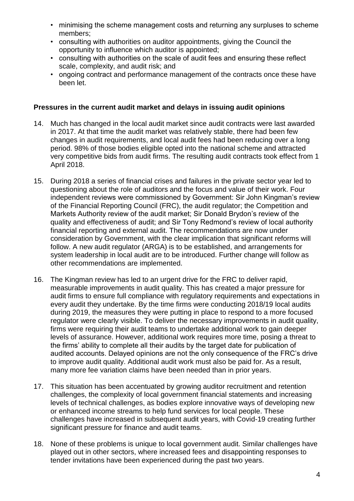- minimising the scheme management costs and returning any surpluses to scheme members;
- consulting with authorities on auditor appointments, giving the Council the opportunity to influence which auditor is appointed;
- consulting with authorities on the scale of audit fees and ensuring these reflect scale, complexity, and audit risk; and
- ongoing contract and performance management of the contracts once these have been let.

#### **Pressures in the current audit market and delays in issuing audit opinions**

- 14. Much has changed in the local audit market since audit contracts were last awarded in 2017. At that time the audit market was relatively stable, there had been few changes in audit requirements, and local audit fees had been reducing over a long period. 98% of those bodies eligible opted into the national scheme and attracted very competitive bids from audit firms. The resulting audit contracts took effect from 1 April 2018.
- 15. During 2018 a series of financial crises and failures in the private sector year led to questioning about the role of auditors and the focus and value of their work. Four independent reviews were commissioned by Government: Sir John Kingman's review of the Financial Reporting Council (FRC), the audit regulator; the Competition and Markets Authority review of the audit market; Sir Donald Brydon's review of the quality and effectiveness of audit; and Sir Tony Redmond's review of local authority financial reporting and external audit. The recommendations are now under consideration by Government, with the clear implication that significant reforms will follow. A new audit regulator (ARGA) is to be established, and arrangements for system leadership in local audit are to be introduced. Further change will follow as other recommendations are implemented.
- 16. The Kingman review has led to an urgent drive for the FRC to deliver rapid, measurable improvements in audit quality. This has created a major pressure for audit firms to ensure full compliance with regulatory requirements and expectations in every audit they undertake. By the time firms were conducting 2018/19 local audits during 2019, the measures they were putting in place to respond to a more focused regulator were clearly visible. To deliver the necessary improvements in audit quality, firms were requiring their audit teams to undertake additional work to gain deeper levels of assurance. However, additional work requires more time, posing a threat to the firms' ability to complete all their audits by the target date for publication of audited accounts. Delayed opinions are not the only consequence of the FRC's drive to improve audit quality. Additional audit work must also be paid for. As a result, many more fee variation claims have been needed than in prior years.
- 17. This situation has been accentuated by growing auditor recruitment and retention challenges, the complexity of local government financial statements and increasing levels of technical challenges, as bodies explore innovative ways of developing new or enhanced income streams to help fund services for local people. These challenges have increased in subsequent audit years, with Covid-19 creating further significant pressure for finance and audit teams.
- 18. None of these problems is unique to local government audit. Similar challenges have played out in other sectors, where increased fees and disappointing responses to tender invitations have been experienced during the past two years.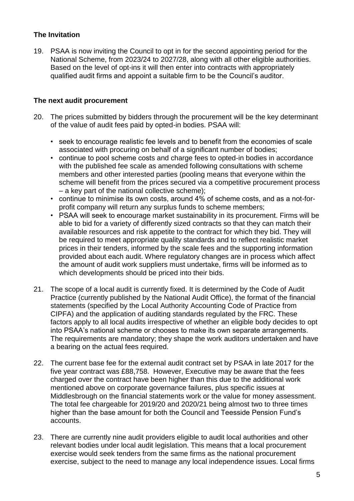## **The Invitation**

19. PSAA is now inviting the Council to opt in for the second appointing period for the National Scheme, from 2023/24 to 2027/28, along with all other eligible authorities. Based on the level of opt-ins it will then enter into contracts with appropriately qualified audit firms and appoint a suitable firm to be the Council's auditor.

## **The next audit procurement**

- 20. The prices submitted by bidders through the procurement will be the key determinant of the value of audit fees paid by opted-in bodies. PSAA will:
	- seek to encourage realistic fee levels and to benefit from the economies of scale associated with procuring on behalf of a significant number of bodies;
	- continue to pool scheme costs and charge fees to opted-in bodies in accordance with the published fee scale as amended following consultations with scheme members and other interested parties (pooling means that everyone within the scheme will benefit from the prices secured via a competitive procurement process – a key part of the national collective scheme);
	- continue to minimise its own costs, around 4% of scheme costs, and as a not-forprofit company will return any surplus funds to scheme members;
	- PSAA will seek to encourage market sustainability in its procurement. Firms will be able to bid for a variety of differently sized contracts so that they can match their available resources and risk appetite to the contract for which they bid. They will be required to meet appropriate quality standards and to reflect realistic market prices in their tenders, informed by the scale fees and the supporting information provided about each audit. Where regulatory changes are in process which affect the amount of audit work suppliers must undertake, firms will be informed as to which developments should be priced into their bids.
- 21. The scope of a local audit is currently fixed. It is determined by the Code of Audit Practice (currently published by the National Audit Office), the format of the financial statements (specified by the Local Authority Accounting Code of Practice from CIPFA) and the application of auditing standards regulated by the FRC. These factors apply to all local audits irrespective of whether an eligible body decides to opt into PSAA's national scheme or chooses to make its own separate arrangements. The requirements are mandatory; they shape the work auditors undertaken and have a bearing on the actual fees required.
- 22. The current base fee for the external audit contract set by PSAA in late 2017 for the five year contract was £88,758. However, Executive may be aware that the fees charged over the contract have been higher than this due to the additional work mentioned above on corporate governance failures, plus specific issues at Middlesbrough on the financial statements work or the value for money assessment. The total fee chargeable for 2019/20 and 2020/21 being almost two to three times higher than the base amount for both the Council and Teesside Pension Fund's accounts.
- 23. There are currently nine audit providers eligible to audit local authorities and other relevant bodies under local audit legislation. This means that a local procurement exercise would seek tenders from the same firms as the national procurement exercise, subject to the need to manage any local independence issues. Local firms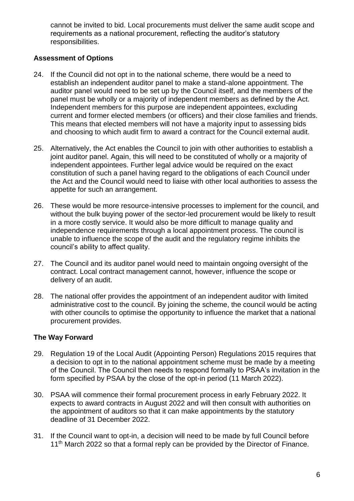cannot be invited to bid. Local procurements must deliver the same audit scope and requirements as a national procurement, reflecting the auditor's statutory responsibilities.

## **Assessment of Options**

- 24. If the Council did not opt in to the national scheme, there would be a need to establish an independent auditor panel to make a stand-alone appointment. The auditor panel would need to be set up by the Council itself, and the members of the panel must be wholly or a majority of independent members as defined by the Act. Independent members for this purpose are independent appointees, excluding current and former elected members (or officers) and their close families and friends. This means that elected members will not have a majority input to assessing bids and choosing to which audit firm to award a contract for the Council external audit.
- 25. Alternatively, the Act enables the Council to join with other authorities to establish a joint auditor panel. Again, this will need to be constituted of wholly or a majority of independent appointees. Further legal advice would be required on the exact constitution of such a panel having regard to the obligations of each Council under the Act and the Council would need to liaise with other local authorities to assess the appetite for such an arrangement.
- 26. These would be more resource-intensive processes to implement for the council, and without the bulk buying power of the sector-led procurement would be likely to result in a more costly service. It would also be more difficult to manage quality and independence requirements through a local appointment process. The council is unable to influence the scope of the audit and the regulatory regime inhibits the council's ability to affect quality.
- 27. The Council and its auditor panel would need to maintain ongoing oversight of the contract. Local contract management cannot, however, influence the scope or delivery of an audit.
- 28. The national offer provides the appointment of an independent auditor with limited administrative cost to the council. By joining the scheme, the council would be acting with other councils to optimise the opportunity to influence the market that a national procurement provides.

## **The Way Forward**

- 29. Regulation 19 of the Local Audit (Appointing Person) Regulations 2015 requires that a decision to opt in to the national appointment scheme must be made by a meeting of the Council. The Council then needs to respond formally to PSAA's invitation in the form specified by PSAA by the close of the opt-in period (11 March 2022).
- 30. PSAA will commence their formal procurement process in early February 2022. It expects to award contracts in August 2022 and will then consult with authorities on the appointment of auditors so that it can make appointments by the statutory deadline of 31 December 2022.
- 31. If the Council want to opt-in, a decision will need to be made by full Council before 11<sup>th</sup> March 2022 so that a formal reply can be provided by the Director of Finance.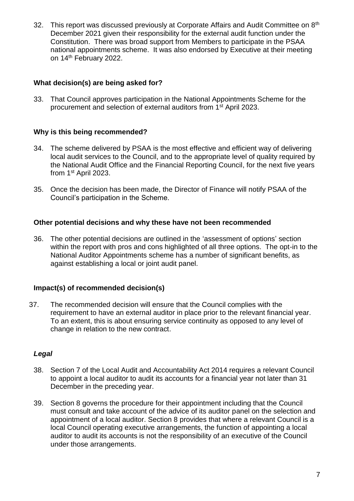32. This report was discussed previously at Corporate Affairs and Audit Committee on 8<sup>th</sup> December 2021 given their responsibility for the external audit function under the Constitution. There was broad support from Members to participate in the PSAA national appointments scheme. It was also endorsed by Executive at their meeting on 14<sup>th</sup> February 2022.

## **What decision(s) are being asked for?**

33. That Council approves participation in the National Appointments Scheme for the procurement and selection of external auditors from 1st April 2023.

## **Why is this being recommended?**

- 34. The scheme delivered by PSAA is the most effective and efficient way of delivering local audit services to the Council, and to the appropriate level of quality required by the National Audit Office and the Financial Reporting Council, for the next five years from 1st April 2023.
- 35. Once the decision has been made, the Director of Finance will notify PSAA of the Council's participation in the Scheme.

## **Other potential decisions and why these have not been recommended**

36. The other potential decisions are outlined in the 'assessment of options' section within the report with pros and cons highlighted of all three options. The opt-in to the National Auditor Appointments scheme has a number of significant benefits, as against establishing a local or joint audit panel.

## **Impact(s) of recommended decision(s)**

37. The recommended decision will ensure that the Council complies with the requirement to have an external auditor in place prior to the relevant financial year. To an extent, this is about ensuring service continuity as opposed to any level of change in relation to the new contract.

## *Legal*

- 38. Section 7 of the Local Audit and Accountability Act 2014 requires a relevant Council to appoint a local auditor to audit its accounts for a financial year not later than 31 December in the preceding year.
- 39. Section 8 governs the procedure for their appointment including that the Council must consult and take account of the advice of its auditor panel on the selection and appointment of a local auditor. Section 8 provides that where a relevant Council is a local Council operating executive arrangements, the function of appointing a local auditor to audit its accounts is not the responsibility of an executive of the Council under those arrangements.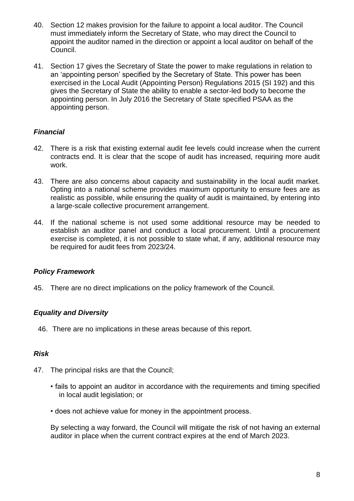- 40. Section 12 makes provision for the failure to appoint a local auditor. The Council must immediately inform the Secretary of State, who may direct the Council to appoint the auditor named in the direction or appoint a local auditor on behalf of the Council.
- 41. Section 17 gives the Secretary of State the power to make regulations in relation to an 'appointing person' specified by the Secretary of State. This power has been exercised in the Local Audit (Appointing Person) Regulations 2015 (SI 192) and this gives the Secretary of State the ability to enable a sector-led body to become the appointing person. In July 2016 the Secretary of State specified PSAA as the appointing person.

# *Financial*

- 42. There is a risk that existing external audit fee levels could increase when the current contracts end. It is clear that the scope of audit has increased, requiring more audit work.
- 43. There are also concerns about capacity and sustainability in the local audit market. Opting into a national scheme provides maximum opportunity to ensure fees are as realistic as possible, while ensuring the quality of audit is maintained, by entering into a large-scale collective procurement arrangement.
- 44. If the national scheme is not used some additional resource may be needed to establish an auditor panel and conduct a local procurement. Until a procurement exercise is completed, it is not possible to state what, if any, additional resource may be required for audit fees from 2023/24.

## *Policy Framework*

45. There are no direct implications on the policy framework of the Council.

## *Equality and Diversity*

46. There are no implications in these areas because of this report.

## *Risk*

- 47. The principal risks are that the Council;
	- fails to appoint an auditor in accordance with the requirements and timing specified in local audit legislation; or
	- does not achieve value for money in the appointment process.

By selecting a way forward, the Council will mitigate the risk of not having an external auditor in place when the current contract expires at the end of March 2023.